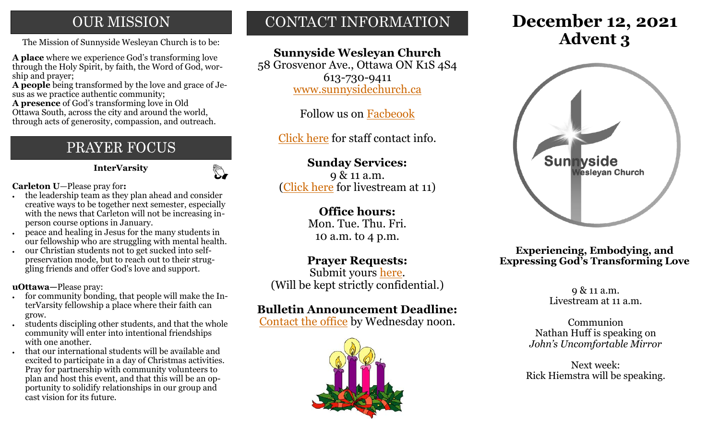## **OUR MISSION**

The Mission of Sunnyside Wesleyan Church is to be: **Advent 3** 

**A place** where we experience God's transforming love through the Holy Spirit, by faith, the Word of God, worship and prayer;

**A people** being transformed by the love and grace of Jesus as we practice authentic community;

**A presence** of God's transforming love in Old Ottawa South, across the city and around the world, through acts of generosity, compassion, and outreach.

# PRAYER FOCUS

 **InterVarsity**

 $\mathbb{C}$ 

**Carleton U**—Please pray for**:**

- the leadership team as they plan ahead and consider creative ways to be together next semester, especially with the news that Carleton will not be increasing inperson course options in January.
- peace and healing in Jesus for the many students in our fellowship who are struggling with mental health.
- our Christian students not to get sucked into selfpreservation mode, but to reach out to their struggling friends and offer God's love and support.

**uOttawa—**Please pray:

- for community bonding, that people will make the InterVarsity fellowship a place where their faith can grow.
- students discipling other students, and that the whole community will enter into intentional friendships with one another.
- that our international students will be available and excited to participate in a day of Christmas activities. Pray for partnership with community volunteers to plan and host this event, and that this will be an opportunity to solidify relationships in our group and cast vision for its future.

# CONTACT INFORMATION

## **Sunnyside Wesleyan Church**

58 Grosvenor Ave., Ottawa ON K1S 4S4 613-730-9411 [www.sunnysidechurch.ca](http://www.sunnysidechurch.ca)

Follow us on [Facbeook](http://www.facebook.com/sunnysidewesleyanchurch)

[Click here](http://www.sunnysidechurch.ca/about-sunnyside/staff/) for staff contact info.

## **Sunday Services:**

9 & 11 a.m. ([Click here](https://youtube.com/channel/UCYfl9Qy37Az7fqqFQpDEwjg) for livestream at 11)

### **Office hours:**

Mon. Tue. Thu. Fri. 10 a.m. to 4 p.m.

## **Prayer Requests:**

Submit yours [here.](mailto:prayer@sunnysidechurch.ca) (Will be kept strictly confidential.)

## **Bulletin Announcement Deadline:**

[Contact the office](mailto:office@sunnysidechurch.ca) by Wednesday noon.



# **December 12, 2021**



#### **Experiencing, Embodying, and Expressing God's Transforming Love**

9 & 11 a.m. Livestream at 11 a.m.

Communion Nathan Huff is speaking on *John's Uncomfortable Mirror*

Next week: Rick Hiemstra will be speaking.